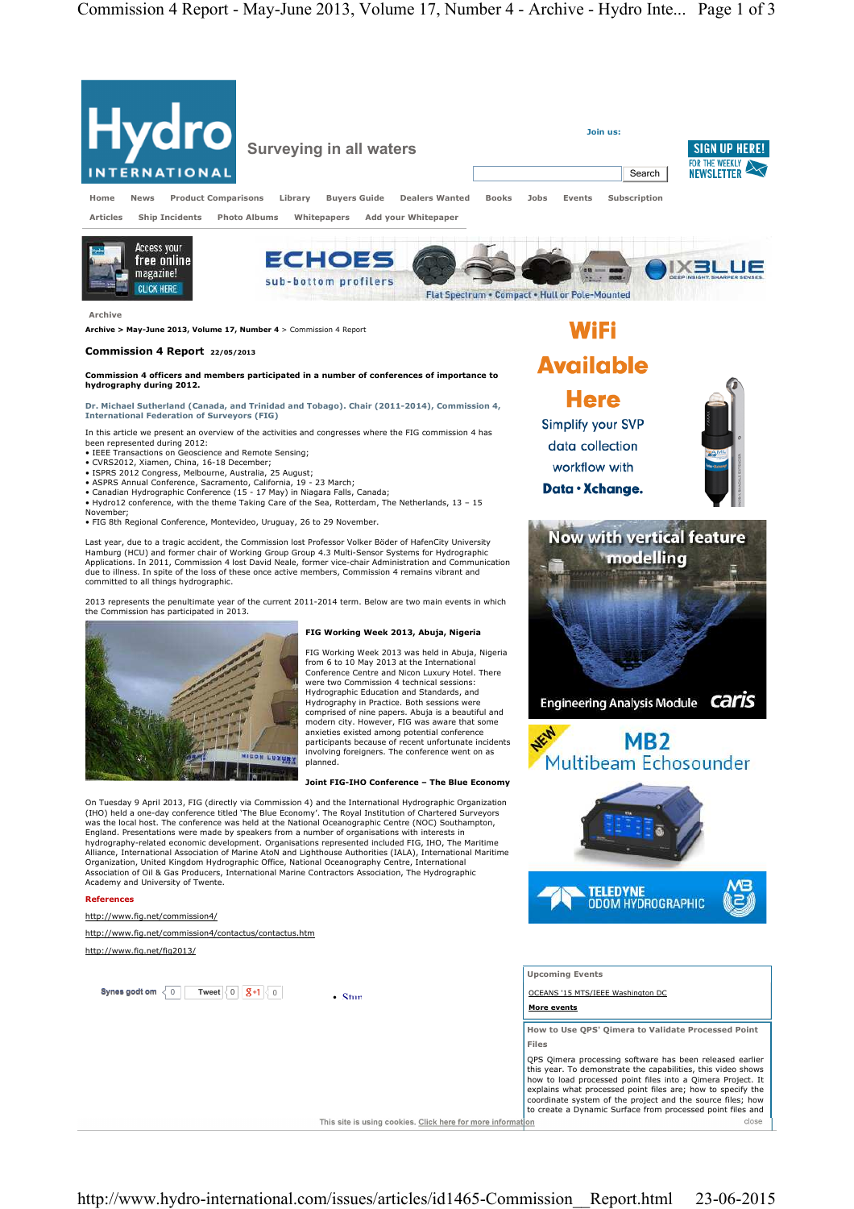

**Dr. Michael Sutherland (Canada, and Trinidad and Tobago). Chair (2011-2014), Commission 4, International Federation of Surveyors (FIG)**

In this article we present an overview of the activities and congresses where the FIG commission 4 has been represented during 2012: • IEEE Transactions on Geoscience and Remote Sensing;

- 
- 
- 
- CVRS2012, Xiamen, China, 16-18 December;<br>• ISPRS 2012 Congress, Melbourne, Australia, 25 August;<br>• ASPRS Annual Conference, Sacramento, California, 19 23 March;<br>• Canadian Hydrographic Conference (15 17 May) in Niaga
- Hydro12 conference, with the theme Taking Care of the Sea, Rotterdam, The Netherlands, 13 15 November;
- FIG 8th Regional Conference, Montevideo, Uruguay, 26 to 29 November.

Last year, due to a tragic accident, the Commission lost Professor Volker Böder of HafenCity University Hamburg (HCU) and former chair of Working Group Group 4.3 Multi-Sensor Systems for Hydrographic Applications. In 2011, Commission 4 lost David Neale, former vice-chair Administration and Communication due to illness. In spite of the loss of these once active members, Commission 4 remains vibrant and committed to all things hydrographic.

2013 represents the penultimate year of the current 2011-2014 term. Below are two main events in which the Commission has participated in 2013.



**Synes godt om**  $\langle 0 | 0 \rangle$  Tweet  $\langle 0 | 0 \rangle$   $\langle 0 | 0 \rangle$ 

http://www.fig.net/commission4/contactus/contactus.htm

**References**

http://www.fig.net/commission4/

http://www.fig.net/fig2013/

## **FIG Working Week 2013, Abuja, Nigeria**

FIG Working Week 2013 was held in Abuja, Nigeria from 6 to 10 May 2013 at the International Conference Centre and Nicon Luxury Hotel. There were two Commission 4 technical sessions: Hydrographic Education and Standards, and Hydrography in Practice. Both sessions were comprised of nine papers. Abuja is a beautiful and modern city. However, FIG was aware that some anxieties existed among potential conference participants because of recent unfortunate incidents involving foreigners. The conference went on as planned.

## **Joint FIG-IHO Conference – The Blue Economy**

On Tuesday 9 April 2013, FIG (directly via Commission 4) and the International Hydrographic Organization (IHO) held a one-day conference titled 'The Blue Economy'. The Royal Institution of Chartered Surveyors was the local host. The conference was held at the National Oceanographic Centre (NOC) Southampton, England. Presentations were made by speakers from a number of organisations with interests in hydrography-related economic development. Organisations represented included FIG, IHO, The Maritime Alliance, International Association of Marine AtoN and Lighthouse Authorities (IALA), International Maritime<br>Organization, United Kingdom Hydrographic Office, National Oceanography Centre, International Association of Oil & Gas Producers, International Marine Contractors Association, The Hydrographic Academy and University of Twente.

 $\cdot$  Stun



**Simplify your SVP** data collection workflow with Data · Xchange.

**Now with vertical feature** modelling

Engineering Analysis Module **Caris** 

**MB2** Multibeam Echosounder

**More events**

NEW

**How to Use QPS' Qimera to Validate Processed Point Files** 



This site is using cookies. Click here for more information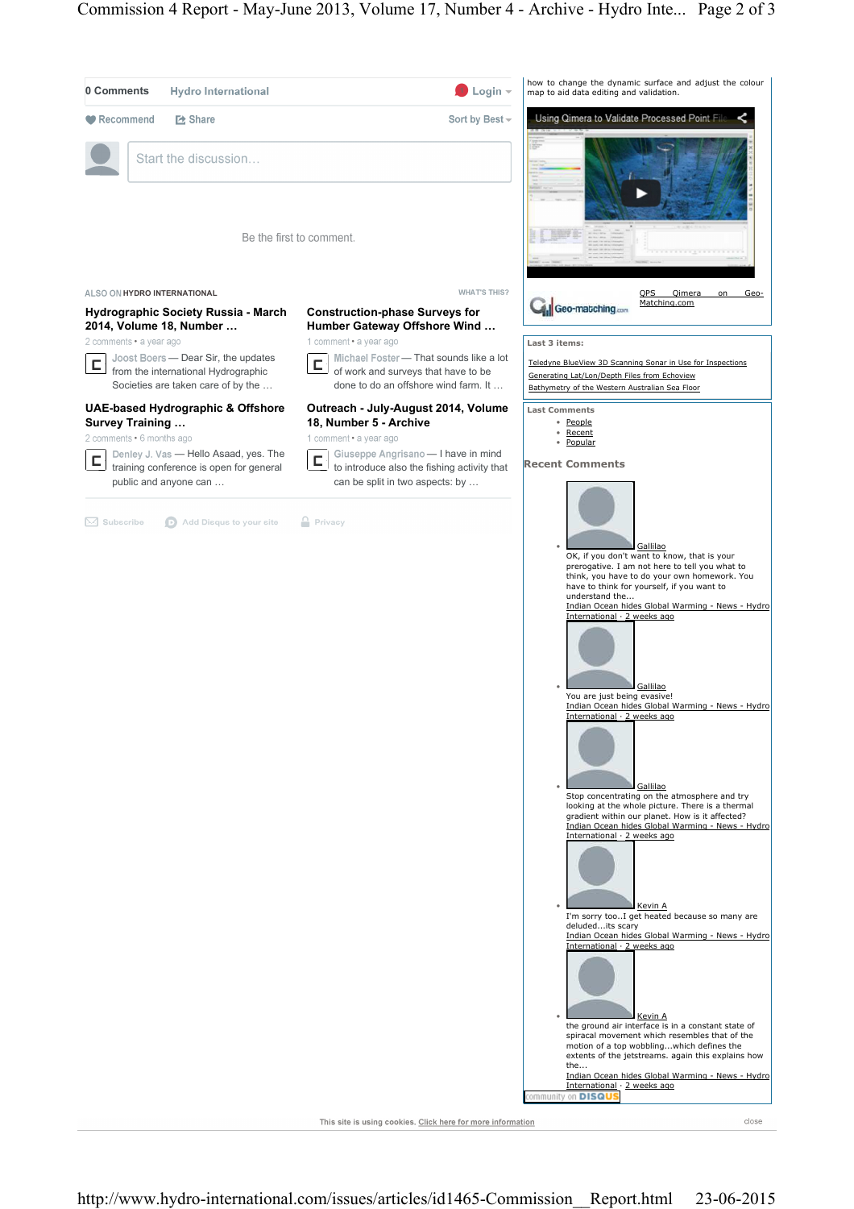

This site is using cookies. Click here for more information